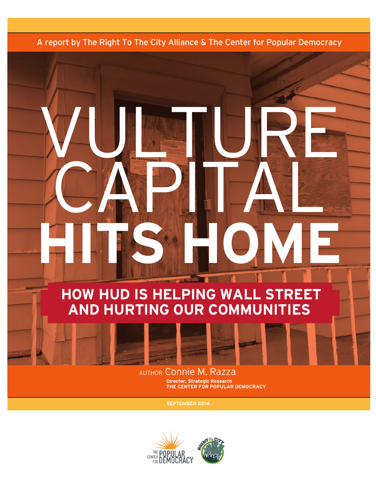A report by The Right To The City Alliance & The Center for Popular Democracy

WU TURE

CAPITAL

**Hits Home** 

# **How HUD is Helping Wall Street and Hurting Our Communities**





author Connie M. Razza **Director, Strategic Research THE Center for Popular Democracy**

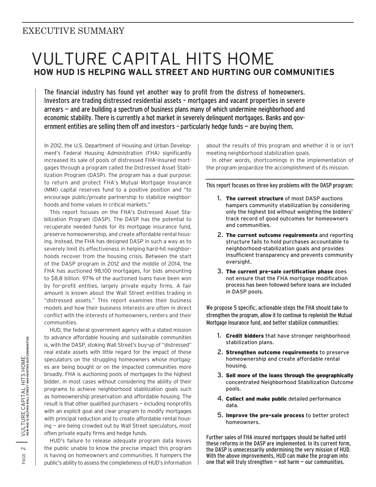## Executive Summary

## Vulture Capital Hits Home  **How HUD is Helping Wall Street and Hurting Our Communities**

The financial industry has found yet another way to profit from the distress of homeowners. Investors are trading distressed residential assets – mortgages and vacant properties in severe arrears — and are building a spectrum of business plans many of which undermine neighborhood and economic stability. There is currently a hot market in severely delinquent mortgages. Banks and government entities are selling them off and investors – particularly hedge funds — are buying them.

In 2012, the U.S. Department of Housing and Urban Development's Federal Housing Administration (FHA) significantly increased its sale of pools of distressed FHA-insured mortgages through a program called the Distressed Asset Stabilization Program (DASP). The program has a dual purpose: to return and protect FHA's Mutual Mortgage Insurance (MMI) capital reserves fund to a positive position and "to encourage public/private partnership to stabilize neighborhoods and home values in critical markets."

This report focuses on the FHA's Distressed Asset Stabilization Program (DASP). The DASP has the potential to recuperate needed funds for its mortgage insurance fund, preserve homeownership, and create affordable rental housing. Instead, the FHA has designed DASP in such a way as to severely limit its effectiveness in helping hard-hit neighborhoods recover from the housing crisis. Between the start of the DASP program in 2012 and the middle of 2014, the FHA has auctioned 98,100 mortgages, for bids amounting to \$8.8 billion. 97% of the auctioned loans have been won by for-profit entities, largely private equity firms. A fair amount is known about the Wall Street entities trading in "distressed assets." This report examines their business models and how their business interests are often in direct conflict with the interests of homeowners, renters and their communities.

HUD, the federal government agency with a stated mission to advance affordable housing and sustainable communities is, with the DASP, stoking Wall Street's buy-up of "distressed" real estate assets with little regard for the impact of these speculators on the struggling homeowners whose mortgages are being bought or on the impacted communities more broadly. FHA is auctioning pools of mortgages to the highest bidder, in most cases without considering the ability of their programs to achieve neighborhood stabilization goals such as homeownership preservation and affordable housing. The result is that other qualified purchasers — including nonprofits with an explicit goal and clear program to modify mortgages with principal reduction and to create affordable rental housing — are being crowded out by Wall Street speculators, most often private equity firms and hedge funds.

HUD's failure to release adequate program data leaves the public unable to know the precise impact this program is having on homeowners and communities. It hampers the public's ability to assess the completeness of HUD's information

about the results of this program and whether it is or isn't meeting neighborhood stabilization goals.

In other words, shortcomings in the implementation of the program jeopardize the accomplishment of its mission.

This report focuses on three key problems with the DASP program:

- 1. The current structure of most DASP auctions hampers community stabilization by considering only the highest bid without weighting the bidders' track record of good outcomes for homeowners and communities.
- 2. The current outcome requirements and reporting structure fails to hold purchases accountable to neighborhood-stabilization goals and provides insufficient transparency and prevents community oversight.
- 3. The current pre-sale certification phase does not ensure that the FHA mortgage modification process has been followed before loans are included in DASP pools.

We propose 5 specific, actionable steps the FHA should take to strengthen the program, allow it to continue to replenish the Mutual Mortgage Insurance fund, and better stabilize communities:

- 1. Credit bidders that have stronger neighborhood stabilization plans.
- 2. Strengthen outcome requirements to preserve homeownership and create affordable rental housing.
- 3. Sell more of the loans through the geographically concentrated Neighborhood Stabilization Outcome pools.
- 4. Collect and make public detailed performance data.
- 5. Improve the pre-sale process to better protect homeowners.

Further sales of FHA insured mortgages should be halted until these reforms in the DASP are implemented. In its current form, the DASP is unnecessarily undermining the very mission of HUD. With the above improvements, HUD can make the program into one that will truly strengthen  $-$  not harm  $-$  our communities.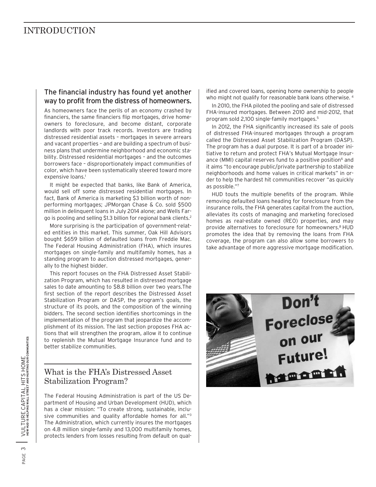## INTRODUCTION

#### The financial industry has found yet another way to profit from the distress of homeowners.

As homeowners face the perils of an economy crashed by financiers, the same financiers flip mortgages, drive homeowners to foreclosure, and become distant, corporate landlords with poor track records. Investors are trading distressed residential assets – mortgages in severe arrears and vacant properties – and are building a spectrum of business plans that undermine neighborhood and economic stability. Distressed residential mortgages – and the outcomes borrowers face – disproportionately impact communities of color, which have been systematically steered toward more expensive loans.<sup>1</sup>

It might be expected that banks, like Bank of America, would sell off some distressed residential mortgages. In fact, Bank of America is marketing \$3 billion worth of nonperforming mortgages; JPMorgan Chase & Co. sold \$500 million in delinquent loans in July 2014 alone; and Wells Fargo is pooling and selling \$1.3 billion for regional bank clients.2

More surprising is the participation of government-related entities in this market. This summer, Oak Hill Advisors bought \$659 billion of defaulted loans from Freddie Mac. The Federal Housing Administration (FHA), which insures mortgages on single-family and multifamily homes, has a standing program to auction distressed mortgages, generally to the highest bidder.

This report focuses on the FHA Distressed Asset Stabilization Program, which has resulted in distressed mortgage sales to date amounting to \$8.8 billion over two years.The first section of the report describes the Distressed Asset Stabilization Program or DASP, the program's goals, the structure of its pools, and the composition of the winning bidders. The second section identifies shortcomings in the implementation of the program that jeopardize the accomplishment of its mission. The last section proposes FHA actions that will strengthen the program, allow it to continue to replenish the Mutual Mortgage Insurance fund and to better stabilize communities.

## What is the FHA's Distressed Asset Stabilization Program?

The Federal Housing Administration is part of the US Department of Housing and Urban Development (HUD), which has a clear mission: "To create strong, sustainable, inclusive communities and quality affordable homes for all."3 The Administration, which currently insures the mortgages on 4.8 million single-family and 13,000 multifamily homes, protects lenders from losses resulting from default on qualified and covered loans, opening home ownership to people who might not qualify for reasonable bank loans otherwise.<sup>4</sup>

In 2010, the FHA piloted the pooling and sale of distressed FHA-insured mortgages. Between 2010 and mid-2012, that program sold 2,100 single-family mortgages.5

In 2012, the FHA significantly increased its sale of pools of distressed FHA-insured mortgages through a program called the Distressed Asset Stabilization Program (DASP). The program has a dual purpose. It is part of a broader initiative to return and protect FHA's Mutual Mortgage Insurance (MMI) capital reserves fund to a positive position<sup>6</sup> and it aims "to encourage public/private partnership to stabilize neighborhoods and home values in critical markets" in order to help the hardest hit communities recover "as quickly as possible."7

HUD touts the multiple benefits of the program. While removing defaulted loans heading for foreclosure from the insurance rolls, the FHA generates capital from the auction, alleviates its costs of managing and marketing foreclosed homes as real-estate owned (REO) properties, and may provide alternatives to foreclosure for homeowners.<sup>8</sup> HUD promotes the idea that by removing the loans from FHA coverage, the program can also allow some borrowers to take advantage of more aggressive mortgage modification.

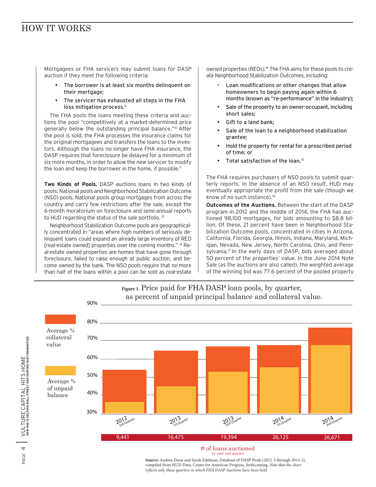## HOW IT WORKS

Mortgagees or FHA servicers may submit loans for DASP auction if they meet the following criteria:

- The borrower is at least six months delinquent on their mortgage;
- The servicer has exhausted all steps in the FHA loss mitigation process.<sup>9</sup>

The FHA pools the loans meeting these criteria and auctions the pool "competitively at a market-determined price generally below the outstanding principal balance."<sup>10</sup> After the pool is sold, the FHA processes the insurance claims for the original mortgagees and transfers the loans to the investors. Although the loans no longer have FHA insurance, the DASP requires that foreclosure be delayed for a minimum of six more months, in order to allow the new servicer to modify the loan and keep the borrower in the home, if possible.<sup>11</sup>

**Two Kinds of Pools.** DASP auctions loans in two kinds of pools: National pools and Neighborhood Stabilization Outcome (NSO) pools. National pools group mortgages from across the country and carry few restrictions after the sale, except the 6-month moratorium on foreclosure and semi-annual reports to HUD regarding the status of the sale portfolio.<sup>12</sup>

Neighborhood Stabilization Outcome pools are geographically concentrated in "areas where high numbers of seriously delinquent loans could expand an already large inventory of REO [real-estate owned] properties over the coming months." 13 Real-estate owned properties are homes that have gone through foreclosure, failed to raise enough at public auction, and become owned by the bank. The NSO pools require that no more than half of the loans within a pool can be sold as real-estate

owned properties (REOs).<sup>14</sup> The FHA aims for these pools to create Neighborhood Stabilization Outcomes, including:

- Loan modifications or other changes that allow homeowners to begin paying again within 6 months (known as "re-performance" in the industry);
- Sale of the property to an owner-occupant, including short sales;
- Gift to a land bank:
- Sale of the loan to a neighborhood stabilization grantee;
- Hold the property for rental for a proscribed period of time; or
- Total satisfaction of the loan.<sup>15</sup>

The FHA requires purchasers of NSO pools to submit quarterly reports. In the absence of an NSO result, HUD may eventually appropriate the profit from the sale (though we know of no such instance).16

**Outcomes of the Auctions.** Between the start of the DASP program in 2012 and the middle of 2014, the FHA has auctioned 98,100 mortgages, for bids amounting to \$8.8 billion. Of these, 21 percent have been in Neighborhood Stabilization Outcome pools, concentrated in cities in Arizona, California, Florida, Georgia, Illinois, Indiana, Maryland, Michigan, Nevada, New Jersey, North Carolina, Ohio, and Pennsylvania.<sup>17</sup> In the early days of DASP, bids averaged about 50 percent of the properties' value. In the June 2014 Note Sale (as the auctions are also called), the weighted average of the winning bid was 77.6 percent of the pooled property



### **Figure 1.** Price paid for FHA DASP loan pools, by quarter, as percent of unpaid principal balance and collateral value.

by year and quarter

**Source:** Aashna Desai and Sarah Edelman, Database of DASP Pools (2012-3 through 2014-2), compiled from HUD Data, Center for American Progress, forthcoming. *Note that the chart reflects only those quarters in which FHA DASP Auctions have been held*.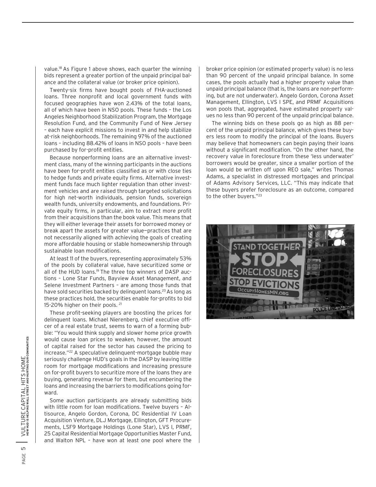value.18 As Figure 1 above shows, each quarter the winning bids represent a greater portion of the unpaid principal balance and the collateral value (or broker price opinion).

Twenty-six firms have bought pools of FHA-auctioned loans. Three nonprofit and local government funds with focused geographies have won 2.43% of the total loans, all of which have been in NSO pools. These funds – the Los Angeles Neighborhood Stabilization Program, the Mortgage Resolution Fund, and the Community Fund of New Jersey – each have explicit missions to invest in and help stabilize at-risk neighborhoods. The remaining 97% of the auctioned loans – including 88.42% of loans in NSO pools – have been purchased by for-profit entities.

Because nonperforming loans are an alternative investment class, many of the winning participants in the auctions have been for-profit entities classified as or with close ties to hedge funds and private equity firms. Alternative investment funds face much lighter regulation than other investment vehicles and are raised through targeted solicitations for high net-worth individuals, pension funds, sovereign wealth funds, university endowments, and foundations. Private equity firms, in particular, aim to extract more profit from their acquisitions than the book value. This means that they will either leverage their assets for borrowed money or break apart the assets for greater value—practices that are not necessarily aligned with achieving the goals of creating more affordable housing or stable homeownership through sustainable loan modifications.

At least 11 of the buyers, representing approximately 53% of the pools by collateral value, have securitized some or all of the HUD loans.19 The three top winners of DASP auctions – Lone Star Funds, Bayview Asset Management, and Selene Investment Partners – are among those funds that have sold securities backed by delinguent loans.<sup>20</sup> As long as these practices hold, the securities enable for-profits to bid 15-20% higher on their pools. 21

These profit-seeking players are boosting the prices for delinquent loans. Michael Nierenberg, chief executive officer of a real estate trust, seems to warn of a forming bubble: "You would think supply and slower home price growth would cause loan prices to weaken, however, the amount of capital raised for the sector has caused the pricing to increase."22 A speculative delinquent-mortgage bubble may seriously challenge HUD's goals in the DASP by leaving little room for mortgage modifications and increasing pressure on for-profit buyers to securitize more of the loans they are buying, generating revenue for them, but encumbering the loans and increasing the barriers to modifications going forward.

Some auction participants are already submitting bids with little room for loan modifications. Twelve buyers – Altisource, Angelo Gordon, Corona, DC Residential IV Loan Acquisition Venture, DLJ Mortgage, Ellington, GFT Procurements, LSF9 Mortgage Holdings (Lone Star), LVS I, PRMF, 25 Capital Residential Mortgage Opportunities Master Fund, and Walton NPL – have won at least one pool where the

broker price opinion (or estimated property value) is no less than 90 percent of the unpaid principal balance. In some cases, the pools actually had a higher property value than unpaid principal balance (that is, the loans are non-performing, but are not underwater). Angelo Gordon, Corona Asset Management, Ellington, LVS I SPE, and PRMF Acquisitions won pools that, aggregated, have estimated property values no less than 90 percent of the unpaid principal balance.

The winning bids on these pools go as high as 88 percent of the unpaid principal balance, which gives these buyers less room to modify the principal of the loans. Buyers may believe that homeowners can begin paying their loans without a significant modification. "On the other hand, the recovery value in foreclosure from these 'less underwater' borrowers would be greater, since a smaller portion of the loan would be written off upon REO sale," writes Thomas Adams, a specialist in distressed mortgages and principal of Adams Advisory Services, LLC. "This may indicate that these buyers prefer foreclosure as an outcome, compared to the other buyers."23

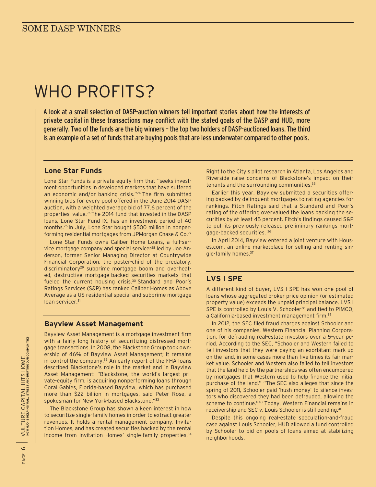# WHO PROFITS?

A look at a small selection of DASP-auction winners tell important stories about how the interests of private capital in these transactions may conflict with the stated goals of the DASP and HUD, more generally. Two of the funds are the big winners – the top two holders of DASP-auctioned loans. The third is an example of a set of funds that are buying pools that are less underwater compared to other pools.

#### **Lone Star Funds**

Lone Star Funds is a private equity firm that "seeks investment opportunities in developed markets that have suffered an economic and/or banking crisis."24 The firm submitted winning bids for every pool offered in the June 2014 DASP auction, with a weighted average bid of 77.6 percent of the properties' value.25 The 2014 fund that invested in the DASP loans, Lone Star Fund IX, has an investment period of 40 months.26 In July, Lone Star bought \$500 million in nonperforming residential mortgages from JPMorgan Chase & Co.27

Lone Star Funds owns Caliber Home Loans, a full-service mortgage company and special servicer<sup>28</sup> led by Joe Anderson, former Senior Managing Director at Countrywide Financial Corporation, the poster-child of the predatory, discriminatory<sup>29</sup> subprime mortgage boom and overheated, destructive mortgage-backed securities markets that fueled the current housing crisis.30 Standard and Poor's Ratings Services (S&P) has ranked Caliber Homes as Above Average as a US residential special and subprime mortgage loan servicer.<sup>31</sup>

#### **Bayview Asset Management**

Bayview Asset Management is a mortgage investment firm with a fairly long history of securitizing distressed mortgage transactions. In 2008, the Blackstone Group took ownership of 46% of Bayview Asset Management; it remains in control the company.<sup>32</sup> An early report of the FHA loans described Blackstone's role in the market and in Bayview Asset Management: "Blackstone, the world's largest private-equity firm, is acquiring nonperforming loans through Coral Gables, Florida-based Bayview, which has purchased more than \$22 billion in mortgages, said Peter Rose, a spokesman for New York-based Blackstone."33

The Blackstone Group has shown a keen interest in how to securitize single-family homes in order to extract greater revenues. It holds a rental management company, Invitation Homes, and has created securities backed by the rental income from Invitation Homes' single-family properties.<sup>34</sup>

Right to the City's pilot research in Atlanta, Los Angeles and Riverside raise concerns of Blackstone's impact on their tenants and the surrounding communities.35

Earlier this year, Bayview submitted a securities offering backed by delinquent mortgages to rating agencies for rankings. Fitch Ratings said that a Standard and Poor's rating of the offering overvalued the loans backing the securities by at least 45 percent. Fitch's findings caused S&P to pull its previously released preliminary rankings mortgage-backed securities. 36

In April 2014, Bayview entered a joint venture with Houses.com, an online marketplace for selling and renting single-family homes.37

### **LVS I SPE**

A different kind of buyer, LVS I SPE has won one pool of loans whose aggregated broker price opinion (or estimated property value) exceeds the unpaid principal balance. LVS I SPE is controlled by Louis V. Schooler<sup>38</sup> and tied to PIMCO, a California-based investment management firm.<sup>39</sup>

In 2012, the SEC filed fraud charges against Schooler and one of his companies, Western Financial Planning Corporation, for defrauding real-estate investors over a 5-year period. According to the SEC, "Schooler and Western failed to tell investors that they were paying an exorbitant mark-up on the land, in some cases more than five times its fair market value. Schooler and Western also failed to tell investors that the land held by the partnerships was often encumbered by mortgages that Western used to help finance the initial purchase of the land." "The SEC also alleges that since the spring of 2011, Schooler paid 'hush money' to silence investors who discovered they had been defrauded, allowing the scheme to continue."40 Today, Western Financial remains in receivership and SEC v. Louis Schooler is still pending.41

Despite this ongoing real-estate speculation-and-fraud case against Louis Schooler, HUD allowed a fund controlled by Schooler to bid on pools of loans aimed at stabilizing neighborhoods.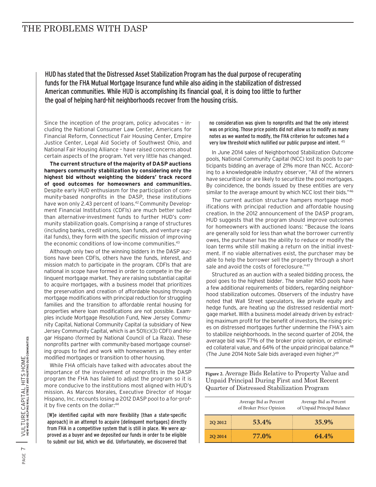## THE PROBLEMS WITH DASP

HUD has stated that the Distressed Asset Stabilization Program has the dual purpose of recuperating funds for the FHA Mutual Mortgage Insurance fund while also aiding in the stabilization of distressed American communities. While HUD is accomplishing its financial goal, it is doing too little to further the goal of helping hard-hit neighborhoods recover from the housing crisis.

Since the inception of the program, policy advocates – including the National Consumer Law Center, Americans for Financial Reform, Connecticut Fair Housing Center, Empire Justice Center, Legal Aid Society of Southwest Ohio, and National Fair Housing Alliance – have raised concerns about certain aspects of the program. Yet very little has changed.

**The current structure of the majority of DASP auctions hampers community stabilization by considering only the highest bid without weighting the bidders' track record of good outcomes for homeowners and communities.** Despite early HUD enthusiasm for the participation of community-based nonprofits in the DASP, these institutions have won only 2.43 percent of loans.<sup>42</sup> Community Development Financial Institutions (CDFIs) are much better suited than alternative-investment funds to further HUD's community stabilization goals. Comprising a range of structures (including banks, credit unions, loan funds, and venture capital funds), they form with the specific mission of improving the economic conditions of low-income communities.<sup>43</sup>

Although only two of the winning bidders in the DASP auctions have been CDFIs, others have the funds, interest, and mission match to participate in the program. CDFIs that are national in scope have formed in order to compete in the delinquent mortgage market. They are raising substantial capital to acquire mortgages, with a business model that prioritizes the preservation and creation of affordable housing through mortgage modifications with principal reduction for struggling families and the transition to affordable rental housing for properties where loan modifications are not possible. Examples include Mortgage Resolution Fund, New Jersey Community Capital, National Community Capital (a subsidiary of New Jersey Community Capital, which is an 501(c)(3) CDFI) and Hogar Hispano (formed by National Council of La Raza). These nonprofits partner with community-based mortgage counseling groups to find and work with homeowners as they enter modified mortgages or transition to other housing.

While FHA officials have talked with advocates about the importance of the involvement of nonprofits in the DASP program the FHA has failed to adjust the program so it is more conducive to the institutions most aligned with HUD's mission. As Marcos Morales, Executive Director of Hogar Hispano, Inc. recounts losing a 2012 DASP pool to a for-profit by five cents on the dollar:<sup>44</sup>

[W]e identified capital with more flexibility [than a state-specific approach] in an attempt to acquire [delinquent mortgages] directly from FHA in a competitive system that is still in place. We were approved as a buyer and we deposited our funds in order to be eligible to submit our bid, which we did. Unfortunately, we discovered that

no consideration was given to nonprofits and that the only interest was on pricing. Those price points did not allow us to modify as many notes as we wanted to modify, the FHA criterion for outcomes had a very low threshold which nullified our public purpose and intent. <sup>45</sup>

In June 2014 sales of Neighborhood Stabilization Outcome pools, National Community Capital (NCC) lost its pools to participants bidding an average of 21% more than NCC. According to a knowledgeable industry observer, "All of the winners have securitized or are likely to securitize the pool mortgages. By coincidence, the bonds issued by these entities are very similar to the average amount by which NCC lost their bids."46

The current auction structure hampers mortgage modifications with principal reduction and affordable housing creation. In the 2012 announcement of the DASP program, HUD suggests that the program should improve outcomes for homeowners with auctioned loans: "Because the loans are generally sold for less than what the borrower currently owes, the purchaser has the ability to reduce or modify the loan terms while still making a return on the initial investment. If no viable alternatives exist, the purchaser may be able to help the borrower sell the property through a short sale and avoid the costs of foreclosure."47

Structured as an auction with a sealed bidding process, the pool goes to the highest bidder. The smaller NSO pools have a few additional requirements of bidders, regarding neighborhood stabilization outcomes. Observers of the industry have noted that Wall Street speculators, like private equity and hedge funds, are heating up the distressed residential mortgage market. With a business model already driven by extracting maximum profit for the benefit of investors, the rising prices on distressed mortgages further undermine the FHA's aim to stabilize neighborhoods. In the second quarter of 2014, the average bid was 77% of the broker price opinion, or estimated collateral value, and 64% of the unpaid principal balance.<sup>48</sup> (The June 2014 Note Sale bids averaged even higher.)<sup>49</sup>

**Figure 2.** Average Bids Relative to Property Value and Unpaid Principal During First and Most Recent Quarter of Distressed Stabilization Program

|               | Average Bid as Percent<br>of Broker Price Opinion | Average Bid as Percent<br>of Unpaid Principal Balance |
|---------------|---------------------------------------------------|-------------------------------------------------------|
| <b>202012</b> | 53.4%                                             | 35.9%                                                 |
| <b>202014</b> | 77.0%                                             | 64.4%                                                 |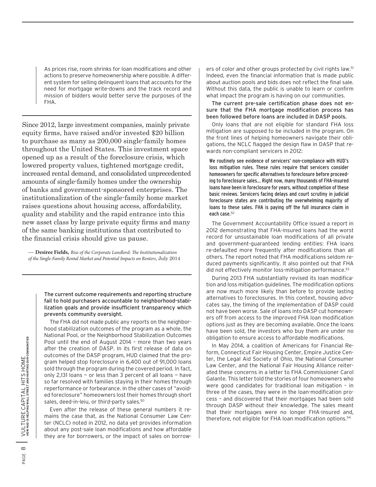As prices rise, room shrinks for loan modifications and other actions to preserve homeownership where possible. A different system for selling delinquent loans that accounts for the need for mortgage write-downs and the track record and mission of bidders would better serve the purposes of the FHA.

Since 2012, large investment companies, mainly private equity firms, have raised and/or invested \$20 billion to purchase as many as 200,000 single-family homes throughout the United States. This investment space opened up as a result of the foreclosure crisis, which lowered property values, tightened mortgage credit, increased rental demand, and consolidated unprecedented amounts of single-family homes under the ownership of banks and government-sponsored enterprises. The institutionalization of the single-family home market raises questions about housing access, affordability, quality and stability and the rapid entrance into this new asset class by large private equity firms and many of the same banking institutions that contributed to the financial crisis should give us pause.

— **Desiree Fields,** *Rise of the Corporate Landlord: The Institutionalization of the Single-Family Rental Market and Potential Impacts on Renters*, July 2014

> The current outcome requirements and reporting structure fail to hold purchasers accountable to neighborhood-stabilization goals and provide insufficient transparency which prevents community oversight.

> The FHA did not made public any reports on the neighborhood stabilization outcomes of the program as a whole, the National Pool, or the Neighborhood Stabilization Outcomes Pool until the end of August 2014 – more than two years after the creation of DASP. In its first release of data on outcomes of the DASP program, HUD claimed that the program helped stop foreclosure in 6,400 out of 91,000 loans sold through the program during the covered period. In fact, only 2,131 loans — or less than 3 percent of all loans — have so far resolved with families staying in their homes through reperformance or forbearance. In the other cases of "avoided foreclosure" homeowners lost their homes through short sales, deed-in-leiu, or third-party sales.<sup>50</sup>

> Even after the release of these general numbers it remains the case that, as the National Consumer Law Center (NCLC) noted in 2012, no data yet provides information about any post-sale loan modifications and how affordable they are for borrowers, or the impact of sales on borrow

ers of color and other groups protected by civil rights law.<sup>51</sup> Indeed, even the financial information that is made public about auction pools and bids does not reflect the final sale. Without this data, the public is unable to learn or confirm what impact the program is having on our communities.

The current pre-sale certification phase does not ensure that the FHA mortgage modification process has been followed before loans are included in DASP pools.

Only loans that are not eligible for standard FHA loss mitigation are supposed to be included in the program. On the front lines of helping homeowners navigate their obligations, the NCLC flagged the design flaw in DASP that rewards non-compliant servicers in 2012:

We routinely see evidence of servicers' non-compliance with HUD's loss mitigation rules. These rules require that servicers consider homeowners for specific alternatives to foreclosure before proceeding to foreclosure sales… Right now, many thousands of FHA-insured loans have been in foreclosure for years, without completion of these basic reviews. Servicers facing delays and court scrutiny in judicial foreclosure states are contributing the overwhelming majority of loans to these sales. FHA is paying off the full insurance claim in each case.<sup>52</sup>

The Government Accountability Office issued a report in 2012 demonstrating that FHA-insured loans had the worst record for unsustainable loan modifications of all private and government-guaranteed lending entities: FHA loans re-defaulted more frequently after modifications than all others. The report noted that FHA modifications seldom reduced payments significantly. It also pointed out that FHA did not effectively monitor loss-mitigation performance.<sup>53</sup>

During 2013 FHA substantially revised its loan modification and loss mitigation guidelines. The modification options are now much more likely than before to provide lasting alternatives to foreclosures. In this context, housing advocates say, the timing of the implementation of DASP could not have been worse. Sale of loans into DASP cut homeowners off from access to the improved FHA loan modification options just as they are becoming available. Once the loans have been sold, the investors who buy them are under no obligation to ensure access to affordable modifications.

In May 2014, a coalition of Americans for Financial Reform, Connecticut Fair Housing Center, Empire Justice Center, the Legal Aid Society of Ohio, the National Consumer Law Center, and the National Fair Housing Alliance reiterated these concerns in a letter to FHA Commissioner Carol Galante. This letter told the stories of four homeowners who were good candidates for traditional loan mitigation – in three of the cases, they were in the loan-modification process – and discovered that their mortgages had been sold through DASP without their knowledge. The sales meant that their mortgages were no longer FHA-insured and, therefore, not eligible for FHA loan modification options.54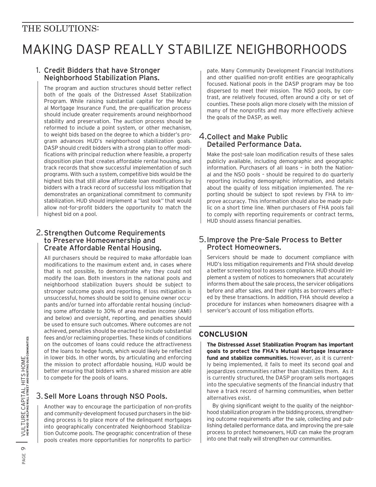## THE SOLUTIONS:

## MAKING DASP REALLY STABILIZE NEIGHBORHOODS

#### 1. Credit Bidders that have Stronger Neighborhood Stabilization Plans.

The program and auction structures should better reflect both of the goals of the Distressed Asset Stabilization Program. While raising substantial capital for the Mutual Mortgage Insurance Fund, the pre-qualification process should include greater requirements around neighborhood stability and preservation. The auction process should be reformed to include a point system, or other mechanism, to weight bids based on the degree to which a bidder's program advances HUD's neighborhood stabilization goals. DASP should credit bidders with a strong plan to offer modifications with principal reduction where feasible, a property disposition plan that creates affordable rental housing, and track records that show successful implementation of such programs. With such a system, competitive bids would be the highest bids that still allow affordable loan modifications by bidders with a track record of successful loss mitigation that demonstrates an organizational commitment to community stabilization. HUD should implement a "last look" that would allow not-for-profit bidders the opportunity to match the highest bid on a pool.

#### 2.Strengthen Outcome Requirements to Preserve Homeownership and Create Affordable Rental Housing.

All purchasers should be required to make affordable loan modifications to the maximum extent and, in cases where that is not possible, to demonstrate why they could not modify the loan. Both investors in the national pools and neighborhood stabilization buyers should be subject to stronger outcome goals and reporting. If loss mitigation is unsuccessful, homes should be sold to genuine owner occupants and/or turned into affordable rental housing (including some affordable to 30% of area median income (AMI) and below) and oversight, reporting, and penalties should be used to ensure such outcomes. Where outcomes are not achieved, penalties should be enacted to include substantial fees and/or reclaiming properties. These kinds of conditions on the outcomes of loans could reduce the attractiveness of the loans to hedge funds, which would likely be reflected in lower bids. In other words, by articulating and enforcing the mission to protect affordable housing, HUD would be better ensuring that bidders with a shared mission are able to compete for the pools of loans.

### 3.Sell More Loans through NSO Pools.

Another way to encourage the participation of non-profits and community-development focused purchasers in the bidding process is to place more of the delinquent mortgages into geographically concentrated Neighborhood Stabilization Outcome pools. The geographic concentration of these pools creates more opportunities for nonprofits to participate. Many Community Development Financial Institutions and other qualified non-profit entities are geographically focused. National pools in the DASP program may be too dispersed to meet their mission. The NSO pools, by contrast, are relatively focused, often around a city or set of counties. These pools align more closely with the mission of many of the nonprofits and may more effectively achieve the goals of the DASP, as well.

#### 4.Collect and Make Public Detailed Performance Data.

Make the post-sale loan modification results of these sales publicly available, including demographic and geographic information. Purchasers of all loans – in both the National and the NSO pools – should be required to do quarterly reporting including demographic information, and details about the quality of loss mitigation implemented. The reporting should be subject to spot reviews by FHA to improve accuracy. This information should also be made public on a short time line. When purchasers of FHA pools fail to comply with reporting requirements or contract terms, HUD should assess financial penalties.

#### 5.Improve the Pre-Sale Process to Better Protect Homeowners.

Servicers should be made to document compliance with HUD's loss mitigation requirements and FHA should develop a better screening tool to assess compliance. HUD should implement a system of notices to homeowners that accurately informs them about the sale process, the servicer obligations before and after sales, and their rights as borrowers affected by these transactions. In addition, FHA should develop a procedure for instances when homeowners disagree with a servicer's account of loss mitigation efforts.

## **Conclusion**

**The Distressed Asset Stabilization Program has important goals to protect the FHA's Mutual Mortgage Insurance fund and stabilize communities.** However, as it is currently being implemented, it fails to meet its second goal and jeopardizes communities rather than stabilizes them. As it is currently structured, the DASP program sells mortgages into the speculative segments of the financial industry that have a track record of harming communities, when better alternatives exist.

By giving significant weight to the quality of the neighborhood stabilization program in the bidding process, strengthening outcome requirements after the sale, collecting and publishing detailed performance data, and improving the pre-sale process to protect homeowners, HUD can make the program into one that really will strengthen our communities.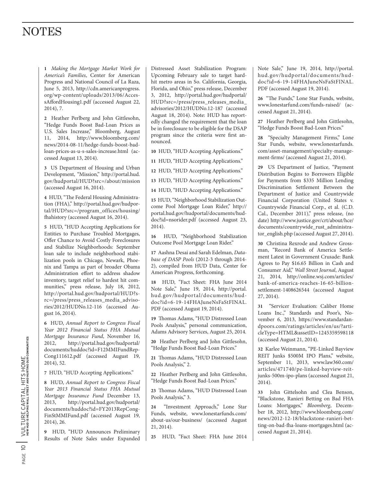## **NOTES**

**1** *Making the Mortgage Market Work for America's Families*, Center for American Progress and National Council of La Raza, June 5, 2013, http://cdn.americanprogress. org/wp-content/uploads/2013/06/AccessAffordHousing1.pdf (accessed August 22, 2014), 7.

**2** Heather Perlberg and John Gittlesohn, "Hedge Funds Boost Bad-Loan Prices as U.S. Sales Increase," Bloomberg, August 11, 2014, http://www.bloomberg.com/ news/2014-08-11/hedge-funds-boost-badloan-prices-as-u-s-sales-increase.html (accessed August 13, 2014).

**3** US Department of Housing and Urban Development, "Mission," http://portal.hud. gov/hudportal/HUD?src=/about/mission (accessed August 16, 2014).

**4** HUD, "The Federal Housing Administration (FHA)," http://portal.hud.gov/hudportal/HUD?src=/program\_offices/housing/ fhahistory (accessed August 16, 2014).

**5** HUD, "HUD Accepting Applications for Entities to Purchase Troubled Mortgages, Offer Chance to Avoid Costly Foreclosures and Stabilize Neighborhoods: September loan sale to include neighborhood stabilization pools in Chicago, Newark, Phoenix and Tampa as part of broader Obama Administration effort to address shadow inventory, target relief to hardest hit communities," press release, July 18, 2012, http://portal.hud.gov/hudportal/HUD?src=/press/press\_releases\_media\_advisories/2012/HUDNo.12-116 (accessed August 16, 2014).

**6** HUD, *Annual Report to Congress Fiscal Year 2012 Financial Status FHA Mutual Mortgage Insurance Fund*, November 16, 2012, http://portal.hud.gov/hudportal/ documents/huddoc?id=F12MMIFundRep-Cong111612.pdf (accessed August 19, 2014), 52.

**7** HUD, "HUD Accepting Applications."

**8** HUD, *Annual Report to Congress Fiscal Year 2013 Financial Status FHA Mutual Mortgage Insurance Fund* December 13, 2013, http://portal.hud.gov/hudportal/ documents/huddoc?id=FY2013RepCong-FinStMMIFund.pdf (accessed August 19, 2014), 26.

**9** HUD, "HUD Announces Preliminary Results of Note Sales under Expanded

Distressed Asset Stabilization Program: Upcoming February sale to target hardhit metro areas in So. California, Georgia, Florida, and Ohio," press release, December 3, 2012, http://portal.hud.gov/hudportal/ HUD?src=/press/press\_releases\_media\_ advisories/2012/HUDNo.12-187 (accessed August 18, 2014). Note: HUD has reportedly changed the requirement that the loan be in foreclosure to be eligible for the DSAP program since the criteria were first announced.

**10** HUD, "HUD Accepting Applications."

**11** HUD, "HUD Accepting Applications."

**12** HUD, "HUD Accepting Applications."

**13** HUD, "HUD Accepting Applications."

**14** HUD, "HUD Accepting Applications."

**15** HUD, "Neighborhood Stabilization Outcome Pool Mortgage Loan Rider," http:// portal.hud.gov/hudportal/documents/huddoc?id=nsorider.pdf (accessed August 23, 2014).

**16** HUD, "Neighborhood Stabilization Outcome Pool Mortgage Loan Rider."

**17** Aashna Desai and Sarah Edelman, *Database of DASP Pools* (2012-3 through 2014- 2), compiled from HUD Data, Center for American Progress, forthcoming.

**18** HUD, "Fact Sheet: FHA June 2014 Note Sale," June 19, 2014, http://portal. hud.gov/hudportal/documents/huddoc?id=6-19-14FHAJuneNsFaStFINAL. PDF (accessed August 19, 2014).

**19** Thomas Adams, "HUD Distressed Loan Pools Analysis," personal communication, Adams Advisory Services, August 25, 2014.

**20** Heather Perlberg and John Gittlesohn, "Hedge Funds Boost Bad-Loan Prices."

**21** Thomas Adams, "HUD Distressed Loan Pools Analysis," 2.

**22** Heather Perlberg and John Gittlesohn, "Hedge Funds Boost Bad-Loan Prices."

**23** Thomas Adams, "HUD Distressed Loan Pools Analysis," 3.

**24** "Investment Approach," Lone Star Funds, website, www.lonestarfunds.com/ about-us/our-business/ (accessed August 21, 2014).

**25** HUD, "Fact Sheet: FHA June 2014

Note Sale," June 19, 2014, http://portal. hud.gov/hudportal/documents/huddoc?id=6-19-14FHAJuneNsFaStFINAL. PDF (accessed August 19, 2014).

**26** "The Funds," Lone Star Funds, website, www.lonestarfund.com/funds-raised/ (accessed August 21, 2014).

**27** Heather Perlberg and John Gittlesohn, "Hedge Funds Boost Bad-Loan Prices."

**28** "Specialty Management Firms," Lone Star Funds, website, www.lonestarfunds. com/asset-management/specialty-management-firms/ (accessed August 21, 2014).

**29** US Department of Justice, "Payment Distribution Begins to Borrowers Eligible for Payments from \$335 Million Lending Discrimination Settlement Between the Department of Justice and Countrywide Financial Corporation (United States v. Countrywide Financial Corp., et al. (C.D. Cal., December 2011)," press release, (no date) http://www.justice.gov/crt/about/hce/ documents/countrywide\_rust\_administrator\_english.php (accessed August 27, 2014).

**30** Christina Rexrode and Andrew Grossman, "Record Bank of America Settlement Latest in Government Crusade: Bank Agrees to Pay \$16.65 Billion in Cash and Consumer Aid," *Wall Street Journal*, August 21, 2014, http://online.wsj.com/articles/ bank-of-america-reaches-16-65-billionsettlement-1408626544 (accessed August 27, 2014).

**31** "Servicer Evaluation: Caliber Home Loans Inc.," Standards and Poor's, November 6, 2013, https://www.standardandpoors.com/ratings/articles/en/us/?articleType=HTML&assetID=1245359598118 (accessed August 21, 2014).

**32** Karlee Weinmann, "PE-Linked Bayview REIT Junks \$500M IPO Plans," website, September 11, 2013, www.law360.com/ articles/471740/pe-linked-bayview-reitjunks-500m-ipo-plans (accessed August 21, 2014).

**33** John Gittelsohn and Clea Benson, "Blackstone, Ranieri Betting on Bad FHA Loans: Mortgages," *Bloomberg*, December 18, 2012, http://www.bloomberg.com/ news/2012-12-18/blackstone-ranieri-betting-on-bad-fha-loans-mortgages.html (accessed August 21, 2014).